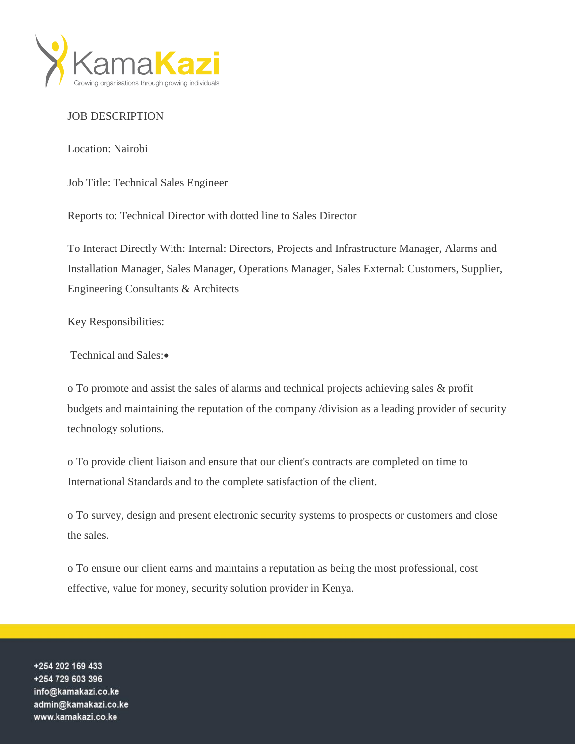

## JOB DESCRIPTION

Location: Nairobi

Job Title: Technical Sales Engineer

Reports to: Technical Director with dotted line to Sales Director

To Interact Directly With: Internal: Directors, Projects and Infrastructure Manager, Alarms and Installation Manager, Sales Manager, Operations Manager, Sales External: Customers, Supplier, Engineering Consultants & Architects

Key Responsibilities:

Technical and Sales:

o To promote and assist the sales of alarms and technical projects achieving sales & profit budgets and maintaining the reputation of the company /division as a leading provider of security technology solutions.

o To provide client liaison and ensure that our client's contracts are completed on time to International Standards and to the complete satisfaction of the client.

o To survey, design and present electronic security systems to prospects or customers and close the sales.

o To ensure our client earns and maintains a reputation as being the most professional, cost effective, value for money, security solution provider in Kenya.

+254 202 169 433 +254 729 603 396 info@kamakazi.co.ke admin@kamakazi.co.ke www.kamakazi.co.ke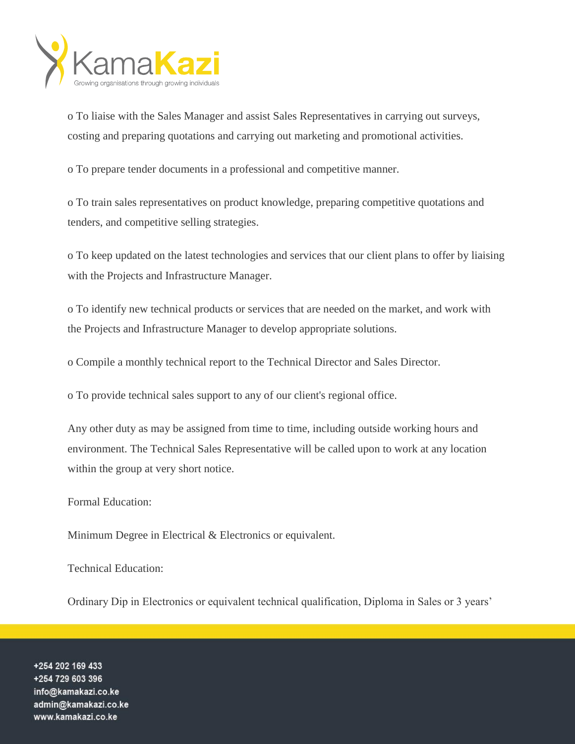

o To liaise with the Sales Manager and assist Sales Representatives in carrying out surveys, costing and preparing quotations and carrying out marketing and promotional activities.

o To prepare tender documents in a professional and competitive manner.

o To train sales representatives on product knowledge, preparing competitive quotations and tenders, and competitive selling strategies.

o To keep updated on the latest technologies and services that our client plans to offer by liaising with the Projects and Infrastructure Manager.

o To identify new technical products or services that are needed on the market, and work with the Projects and Infrastructure Manager to develop appropriate solutions.

o Compile a monthly technical report to the Technical Director and Sales Director.

o To provide technical sales support to any of our client's regional office.

Any other duty as may be assigned from time to time, including outside working hours and environment. The Technical Sales Representative will be called upon to work at any location within the group at very short notice.

Formal Education:

Minimum Degree in Electrical & Electronics or equivalent.

Technical Education:

Ordinary Dip in Electronics or equivalent technical qualification, Diploma in Sales or 3 years'

+254 202 169 433 +254 729 603 396 info@kamakazi.co.ke admin@kamakazi.co.ke www.kamakazi.co.ke